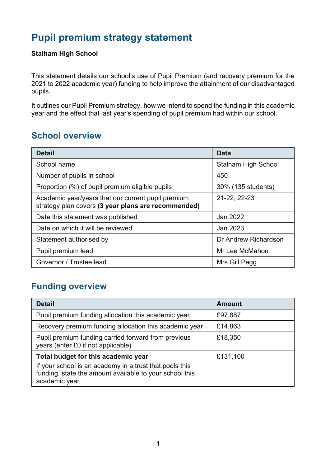# **Pupil premium strategy statement**

#### **Stalham High School**

This statement details our school's use of Pupil Premium (and recovery premium for the 2021 to 2022 academic year) funding to help improve the attainment of our disadvantaged pupils.

It outlines our Pupil Premium strategy, how we intend to spend the funding in this academic year and the effect that last year's spending of pupil premium had within our school.

## **School overview**

| <b>Detail</b>                                                                                             | Data                       |
|-----------------------------------------------------------------------------------------------------------|----------------------------|
| School name                                                                                               | <b>Stalham High School</b> |
| Number of pupils in school                                                                                | 450                        |
| Proportion (%) of pupil premium eligible pupils                                                           | 30% (135 students)         |
| Academic year/years that our current pupil premium<br>strategy plan covers (3 year plans are recommended) | 21-22, 22-23               |
| Date this statement was published                                                                         | Jan 2022                   |
| Date on which it will be reviewed                                                                         | Jan 2023                   |
| Statement authorised by                                                                                   | Dr Andrew Richardson       |
| Pupil premium lead                                                                                        | Mr Lee McMahon             |
| Governor / Trustee lead                                                                                   | Mrs Gill Pegg              |

## **Funding overview**

| <b>Detail</b>                                                                                                                       | <b>Amount</b> |
|-------------------------------------------------------------------------------------------------------------------------------------|---------------|
| Pupil premium funding allocation this academic year                                                                                 | £97,887       |
| Recovery premium funding allocation this academic year                                                                              | £14,863       |
| Pupil premium funding carried forward from previous<br>years (enter £0 if not applicable)                                           | £18,350       |
| Total budget for this academic year                                                                                                 | £131,100      |
| If your school is an academy in a trust that pools this<br>funding, state the amount available to your school this<br>academic year |               |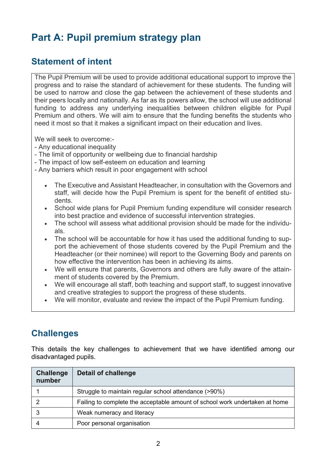# **Part A: Pupil premium strategy plan**

## **Statement of intent**

The Pupil Premium will be used to provide additional educational support to improve the progress and to raise the standard of achievement for these students. The funding will be used to narrow and close the gap between the achievement of these students and their peers locally and nationally. As far as its powers allow, the school will use additional funding to address any underlying inequalities between children eligible for Pupil Premium and others. We will aim to ensure that the funding benefits the students who need it most so that it makes a significant impact on their education and lives.

We will seek to overcome:-

- Any educational inequality
- The limit of opportunity or wellbeing due to financial hardship
- The impact of low self-esteem on education and learning
- Any barriers which result in poor engagement with school
	- The Executive and Assistant Headteacher, in consultation with the Governors and staff, will decide how the Pupil Premium is spent for the benefit of entitled students.
	- School wide plans for Pupil Premium funding expenditure will consider research into best practice and evidence of successful intervention strategies.
	- The school will assess what additional provision should be made for the individuals.
	- The school will be accountable for how it has used the additional funding to support the achievement of those students covered by the Pupil Premium and the Headteacher (or their nominee) will report to the Governing Body and parents on how effective the intervention has been in achieving its aims.
	- We will ensure that parents, Governors and others are fully aware of the attainment of students covered by the Premium.
	- We will encourage all staff, both teaching and support staff, to suggest innovative and creative strategies to support the progress of these students.
	- We will monitor, evaluate and review the impact of the Pupil Premium funding.

## **Challenges**

This details the key challenges to achievement that we have identified among our disadvantaged pupils.

| Challenge<br>number | <b>Detail of challenge</b>                                                  |
|---------------------|-----------------------------------------------------------------------------|
|                     | Struggle to maintain regular school attendance (>90%)                       |
|                     | Failing to complete the acceptable amount of school work undertaken at home |
|                     | Weak numeracy and literacy                                                  |
|                     | Poor personal organisation                                                  |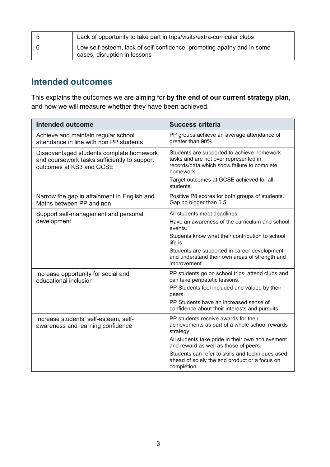| Lack of opportunity to take part in trips/visits/extra-curricular clubs                                |
|--------------------------------------------------------------------------------------------------------|
| Low self-esteem, lack of self-confidence, promoting apathy and in some<br>cases, disruption in lessons |

## **Intended outcomes**

This explains the outcomes we are aiming for **by the end of our current strategy plan**, and how we will measure whether they have been achieved.

| <b>Intended outcome</b>                                                                                              | <b>Success criteria</b>                                                                                                                         |
|----------------------------------------------------------------------------------------------------------------------|-------------------------------------------------------------------------------------------------------------------------------------------------|
| Achieve and maintain regular school<br>attendance in line with non PP students                                       | PP groups achieve an average attendance of<br>greater than 90%                                                                                  |
| Disadvantaged students complete homework<br>and coursework tasks sufficiently to support<br>outcomes at KS3 and GCSE | Students are supported to achieve homework<br>tasks and are not over represented in<br>records/data which show failure to complete<br>homework. |
|                                                                                                                      | Target outcomes at GCSE achieved for all<br>students.                                                                                           |
| Narrow the gap in attainment in English and<br>Maths between PP and non                                              | Positive P8 scores for both groups of students.<br>Gap no bigger than 0.5                                                                       |
| Support self-management and personal                                                                                 | All students meet deadlines.                                                                                                                    |
| development                                                                                                          | Have an awareness of the curriculum and school<br>events.                                                                                       |
|                                                                                                                      | Students know what their contribution to school<br>life is.                                                                                     |
|                                                                                                                      | Students are supported in career development<br>and understand their own areas of strength and<br>improvement.                                  |
| Increase opportunity for social and<br>educational inclusion                                                         | PP students go on school trips, attend clubs and<br>can take peripatetic lessons.                                                               |
|                                                                                                                      | PP Students feel included and valued by their<br>peers.                                                                                         |
|                                                                                                                      | PP Students have an increased sense of<br>confidence about their interests and pursuits.                                                        |
| Increase students' self-esteem, self-<br>awareness and learning confidence                                           | PP students receive awards for their<br>achievements as part of a whole school rewards<br>strategy.                                             |
|                                                                                                                      | All students take pride in their own achievement<br>and reward as well as those of peers.                                                       |
|                                                                                                                      | Students can refer to skills and techniques used,<br>ahead of solely the end product or a focus on<br>completion.                               |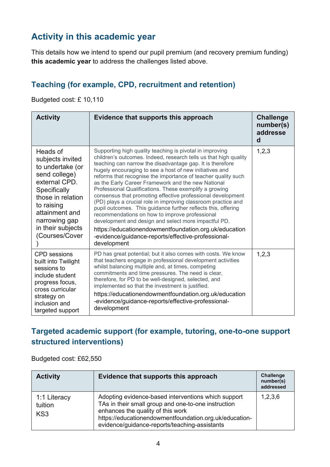## **Activity in this academic year**

This details how we intend to spend our pupil premium (and recovery premium funding) **this academic year** to address the challenges listed above.

#### **Teaching (for example, CPD, recruitment and retention)**

Budgeted cost: £ 10,110

| <b>Activity</b>                                                                                                                                                                                                | Evidence that supports this approach                                                                                                                                                                                                                                                                                                                                                                                                                                                                                                                                                                                                                                                                                                                                                                                                                                           | <b>Challenge</b><br>number(s)<br>addresse<br>d |
|----------------------------------------------------------------------------------------------------------------------------------------------------------------------------------------------------------------|--------------------------------------------------------------------------------------------------------------------------------------------------------------------------------------------------------------------------------------------------------------------------------------------------------------------------------------------------------------------------------------------------------------------------------------------------------------------------------------------------------------------------------------------------------------------------------------------------------------------------------------------------------------------------------------------------------------------------------------------------------------------------------------------------------------------------------------------------------------------------------|------------------------------------------------|
| Heads of<br>subjects invited<br>to undertake (or<br>send college)<br>external CPD.<br>Specifically<br>those in relation<br>to raising<br>attainment and<br>narrowing gap<br>in their subjects<br>Courses/Cover | Supporting high quality teaching is pivotal in improving<br>children's outcomes. Indeed, research tells us that high quality<br>teaching can narrow the disadvantage gap. It is therefore<br>hugely encouraging to see a host of new initiatives and<br>reforms that recognise the importance of teacher quality such<br>as the Early Career Framework and the new National<br>Professional Qualifications. These exemplify a growing<br>consensus that promoting effective professional development<br>(PD) plays a crucial role in improving classroom practice and<br>pupil outcomes. This guidance further reflects this, offering<br>recommendations on how to improve professional<br>development and design and select more impactful PD.<br>https://educationendowmentfoundation.org.uk/education<br>-evidence/guidance-reports/effective-professional-<br>development | 1,2,3                                          |
| <b>CPD</b> sessions<br>built into Twilight<br>sessions to<br>include student<br>progress focus,<br>cross curricular<br>strategy on<br>inclusion and<br>targeted support                                        | PD has great potential; but it also comes with costs. We know<br>that teachers engage in professional development activities<br>whilst balancing multiple and, at times, competing<br>commitments and time pressures. The need is clear,<br>therefore, for PD to be well-designed, selected, and<br>implemented so that the investment is justified.<br>https://educationendowmentfoundation.org.uk/education<br>-evidence/guidance-reports/effective-professional-<br>development                                                                                                                                                                                                                                                                                                                                                                                             | 1, 2, 3                                        |

### **Targeted academic support (for example, tutoring, one-to-one support structured interventions)**

Budgeted cost: £62,550

| <b>Activity</b>                | Evidence that supports this approach                                                                                                                                                                                                                       | Challenge<br>number(s)<br>addressed |
|--------------------------------|------------------------------------------------------------------------------------------------------------------------------------------------------------------------------------------------------------------------------------------------------------|-------------------------------------|
| 1:1 Literacy<br>tuition<br>KS3 | Adopting evidence-based interventions which support<br>TAs in their small group and one-to-one instruction<br>enhances the quality of this work<br>https://educationendowmentfoundation.org.uk/education-<br>evidence/guidance-reports/teaching-assistants | 1,2,3,6                             |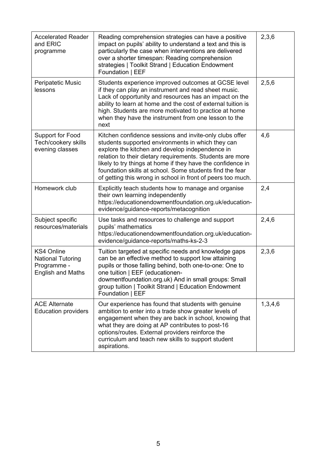| <b>Accelerated Reader</b><br>and ERIC<br>programme                                       | Reading comprehension strategies can have a positive<br>impact on pupils' ability to understand a text and this is<br>particularly the case when interventions are delivered<br>over a shorter timespan: Reading comprehension<br>strategies   Toolkit Strand   Education Endowment<br>Foundation   EEF                                                                                                                | 2,3,6   |
|------------------------------------------------------------------------------------------|------------------------------------------------------------------------------------------------------------------------------------------------------------------------------------------------------------------------------------------------------------------------------------------------------------------------------------------------------------------------------------------------------------------------|---------|
| <b>Peripatetic Music</b><br>lessons                                                      | Students experience improved outcomes at GCSE level<br>if they can play an instrument and read sheet music.<br>Lack of opportunity and resources has an impact on the<br>ability to learn at home and the cost of external tuition is<br>high. Students are more motivated to practice at home<br>when they have the instrument from one lesson to the<br>next                                                         | 2,5,6   |
| <b>Support for Food</b><br>Tech/cookery skills<br>evening classes                        | Kitchen confidence sessions and invite-only clubs offer<br>students supported environments in which they can<br>explore the kitchen and develop independence in<br>relation to their dietary requirements. Students are more<br>likely to try things at home if they have the confidence in<br>foundation skills at school. Some students find the fear<br>of getting this wrong in school in front of peers too much. | 4,6     |
| Homework club                                                                            | Explicitly teach students how to manage and organise<br>their own learning independently<br>https://educationendowmentfoundation.org.uk/education-<br>evidence/guidance-reports/metacognition                                                                                                                                                                                                                          | 2,4     |
| Subject specific<br>resources/materials                                                  | Use tasks and resources to challenge and support<br>pupils' mathematics<br>https://educationendowmentfoundation.org.uk/education-<br>evidence/guidance-reports/maths-ks-2-3                                                                                                                                                                                                                                            | 2,4,6   |
| <b>KS4 Online</b><br><b>National Tutoring</b><br>Programme -<br><b>English and Maths</b> | Tuition targeted at specific needs and knowledge gaps<br>can be an effective method to support low attaining<br>pupils or those falling behind, both one-to-one: One to<br>one tuition   EEF (educationen-<br>dowmentfoundation.org.uk) And in small groups: Small<br>group tuition   Toolkit Strand   Education Endowment<br>Foundation   EEF                                                                         | 2,3,6   |
| <b>ACE Alternate</b><br><b>Education providers</b>                                       | Our experience has found that students with genuine<br>ambition to enter into a trade show greater levels of<br>engagement when they are back in school, knowing that<br>what they are doing at AP contributes to post-16<br>options/routes. External providers reinforce the<br>curriculum and teach new skills to support student<br>aspirations.                                                                    | 1,3,4,6 |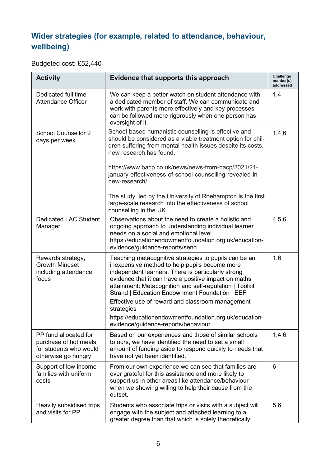## **Wider strategies (for example, related to attendance, behaviour, wellbeing)**

Budgeted cost: £52,440

| <b>Activity</b>                                                                                 | Evidence that supports this approach                                                                                                                                                                                                                                                                                                                                                                | Challenge<br>number(s)<br>addressed |
|-------------------------------------------------------------------------------------------------|-----------------------------------------------------------------------------------------------------------------------------------------------------------------------------------------------------------------------------------------------------------------------------------------------------------------------------------------------------------------------------------------------------|-------------------------------------|
| Dedicated full time<br><b>Attendance Officer</b>                                                | We can keep a better watch on student attendance with<br>a dedicated member of staff. We can communicate and<br>work with parents more effectively and key processes<br>can be followed more rigorously when one person has<br>oversight of it.                                                                                                                                                     | 1,4                                 |
| <b>School Counsellor 2</b><br>days per week                                                     | School-based humanistic counselling is effective and<br>should be considered as a viable treatment option for chil-<br>dren suffering from mental health issues despite its costs,<br>new research has found.                                                                                                                                                                                       | 1,4,6                               |
|                                                                                                 | https://www.bacp.co.uk/news/news-from-bacp/2021/21-<br>january-effectiveness-of-school-counselling-revealed-in-<br>new-research/                                                                                                                                                                                                                                                                    |                                     |
|                                                                                                 | The study, led by the University of Roehampton is the first<br>large-scale research into the effectiveness of school<br>counselling in the UK.                                                                                                                                                                                                                                                      |                                     |
| <b>Dedicated LAC Student</b><br>Manager                                                         | Observations about the need to create a holistic and<br>ongoing approach to understanding individual learner<br>needs on a social and emotional level.<br>https://educationendowmentfoundation.org.uk/education-<br>evidence/guidance-reports/send                                                                                                                                                  | 4,5,6                               |
| Rewards strategy,<br><b>Growth Mindset</b><br>including attendance<br>focus                     | Teaching metacognitive strategies to pupils can be an<br>inexpensive method to help pupils become more<br>independent learners. There is particularly strong<br>evidence that it can have a positive impact on maths<br>attainment: Metacognition and self-regulation   Toolkit<br>Strand   Education Endownment Foundation   EEF<br>Effective use of reward and classroom management<br>strategies | 1,6                                 |
|                                                                                                 | https://educationendowmentfoundation.org.uk/education-<br>evidence/guidance-reports/behaviour                                                                                                                                                                                                                                                                                                       |                                     |
| PP fund allocated for<br>purchase of hot meals<br>for students who would<br>otherwise go hungry | Based on our experiences and those of similar schools<br>to ours, we have identified the need to set a small<br>amount of funding aside to respond quickly to needs that<br>have not yet been identified.                                                                                                                                                                                           | 1,4,6                               |
| Support of low income<br>families with uniform<br>costs                                         | From our own experience we can see that families are<br>ever grateful for this assistance and more likely to<br>support us in other areas like attendance/behaviour<br>when we showing willing to help their cause from the<br>outset.                                                                                                                                                              | 6                                   |
| Heavily subsidised trips<br>and visits for PP                                                   | Students who associate trips or visits with a subject will<br>engage with the subject and attached learning to a<br>greater degree than that which is solely theoretically                                                                                                                                                                                                                          | 5,6                                 |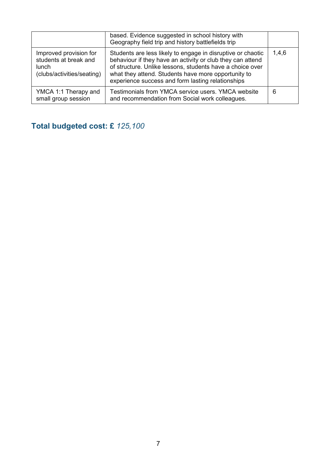|                                                                                               | based. Evidence suggested in school history with<br>Geography field trip and history battlefields trip                                                                                                                                                                                             |       |
|-----------------------------------------------------------------------------------------------|----------------------------------------------------------------------------------------------------------------------------------------------------------------------------------------------------------------------------------------------------------------------------------------------------|-------|
| Improved provision for<br>students at break and<br><b>lunch</b><br>(clubs/activities/seating) | Students are less likely to engage in disruptive or chaotic<br>behaviour if they have an activity or club they can attend<br>of structure. Unlike lessons, students have a choice over<br>what they attend. Students have more opportunity to<br>experience success and form lasting relationships | 1,4,6 |
| YMCA 1:1 Therapy and<br>small group session                                                   | Testimonials from YMCA service users. YMCA website<br>and recommendation from Social work colleagues.                                                                                                                                                                                              | 6     |

## **Total budgeted cost: £** *125,100*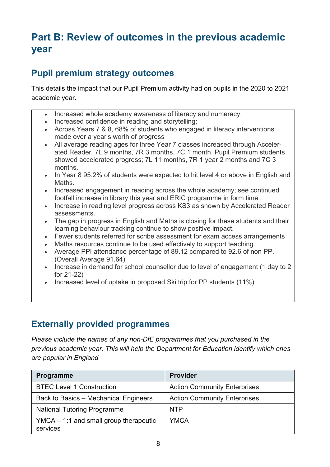# **Part B: Review of outcomes in the previous academic year**

## **Pupil premium strategy outcomes**

This details the impact that our Pupil Premium activity had on pupils in the 2020 to 2021 academic year.

- Increased whole academy awareness of literacy and numeracy;
- Increased confidence in reading and storytelling;
- Across Years 7 & 8, 68% of students who engaged in literacy interventions made over a year's worth of progress
- All average reading ages for three Year 7 classes increased through Accelerated Reader. 7L 9 months, 7R 3 months, 7C 1 month. Pupil Premium students showed accelerated progress; 7L 11 months, 7R 1 year 2 months and 7C 3 months.
- In Year 8 95.2% of students were expected to hit level 4 or above in English and Maths.
- Increased engagement in reading across the whole academy; see continued footfall increase in library this year and ERIC programme in form time.
- Increase in reading level progress across KS3 as shown by Accelerated Reader assessments.
- The gap in progress in English and Maths is closing for these students and their learning behaviour tracking continue to show positive impact.
- Fewer students referred for scribe assessment for exam access arrangements
- Maths resources continue to be used effectively to support teaching.
- Average PPI attendance percentage of 89.12 compared to 92.6 of non PP. (Overall Average 91.64)
- Increase in demand for school counsellor due to level of engagement (1 day to 2 for 21-22)
- Increased level of uptake in proposed Ski trip for PP students (11%)

## **Externally provided programmes**

*Please include the names of any non-DfE programmes that you purchased in the previous academic year. This will help the Department for Education identify which ones are popular in England*

| <b>Programme</b>                                     | <b>Provider</b>                     |
|------------------------------------------------------|-------------------------------------|
| <b>BTEC Level 1 Construction</b>                     | <b>Action Community Enterprises</b> |
| Back to Basics - Mechanical Engineers                | <b>Action Community Enterprises</b> |
| <b>National Tutoring Programme</b>                   | <b>NTP</b>                          |
| $YMCA - 1:1$ and small group therapeutic<br>services | <b>YMCA</b>                         |